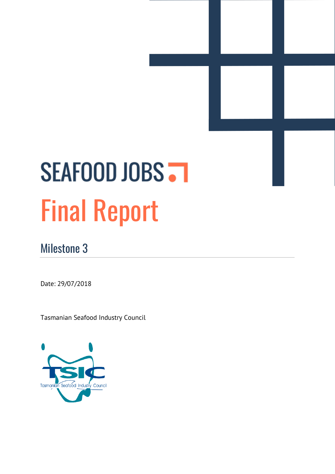# SEAFOOD JOBS . Final Report

# <span id="page-0-0"></span>Milestone 3

Date: 29/07/2018

Tasmanian Seafood Industry Council

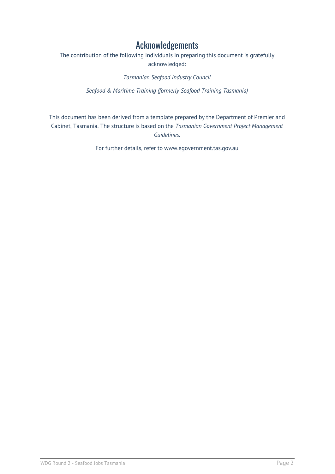#### Acknowledgements

<span id="page-1-0"></span>The contribution of the following individuals in preparing this document is gratefully acknowledged:

*Tasmanian Seafood Industry Council*

*Seafood & Maritime Training (formerly Seafood Training Tasmania)*

This document has been derived from a template prepared by the Department of Premier and Cabinet, Tasmania. The structure is based on the *Tasmanian Government Project Management Guidelines.*

For further details, refer to www.egovernment.tas.gov.au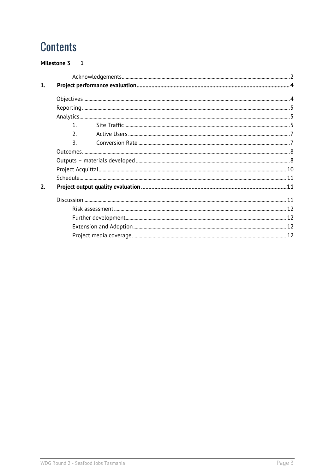# **Contents**

|    | Milestone 3 1 |  |  |
|----|---------------|--|--|
|    |               |  |  |
| 1. |               |  |  |
|    |               |  |  |
|    |               |  |  |
|    |               |  |  |
|    | $\mathbf{1}$  |  |  |
|    |               |  |  |
|    | 3.            |  |  |
|    |               |  |  |
|    |               |  |  |
|    |               |  |  |
|    |               |  |  |
| 2. |               |  |  |
|    |               |  |  |
|    |               |  |  |
|    |               |  |  |
|    |               |  |  |
|    |               |  |  |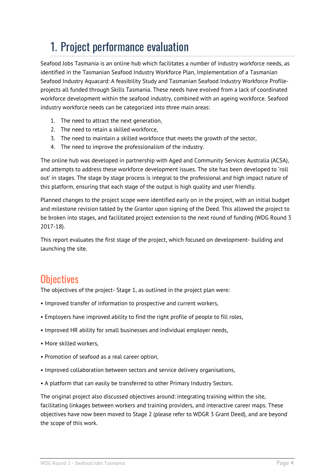# <span id="page-3-0"></span>1. Project performance evaluation

Seafood Jobs Tasmania is an online hub which facilitates a number of industry workforce needs, as identified in the Tasmanian Seafood Industry Workforce Plan, Implementation of a Tasmanian Seafood Industry Aquacard: A feasibility Study and Tasmanian Seafood Industry Workforce Profileprojects all funded through Skills Tasmania. These needs have evolved from a lack of coordinated workforce development within the seafood industry, combined with an ageing workforce. Seafood industry workforce needs can be categorized into three main areas:

- 1. The need to attract the next generation,
- 2. The need to retain a skilled workforce,
- 3. The need to maintain a skilled workforce that meets the growth of the sector,
- 4. The need to improve the professionalism of the industry.

The online hub was developed in partnership with Aged and Community Services Australia (ACSA), and attempts to address these workforce development issues. The site has been developed to 'roll out' in stages. The stage by stage process is integral to the professional and high impact nature of this platform, ensuring that each stage of the output is high quality and user friendly.

Planned changes to the project scope were identified early on in the project, with an initial budget and milestone revision tabled by the Grantor upon signing of the Deed. This allowed the project to be broken into stages, and facilitated project extension to the next round of funding (WDG Round 3 2017-18).

This report evaluates the first stage of the project, which focused on development- building and launching the site.

### <span id="page-3-1"></span>**Objectives**

The objectives of the project- Stage 1, as outlined in the project plan were:

- Improved transfer of information to prospective and current workers,
- Employers have improved ability to find the right profile of people to fill roles,
- Improved HR ability for small businesses and individual employer needs,
- More skilled workers,
- Promotion of seafood as a real career option,
- Improved collaboration between sectors and service delivery organisations,
- A platform that can easily be transferred to other Primary Industry Sectors.

The original project also discussed objectives around: integrating training within the site, facilitating linkages between workers and training providers, and interactive career maps. These objectives have now been moved to Stage 2 (please refer to WDGR 3 Grant Deed), and are beyond the scope of this work.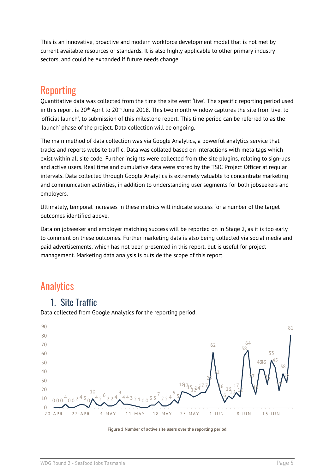This is an innovative, proactive and modern workforce development model that is not met by current available resources or standards. It is also highly applicable to other primary industry sectors, and could be expanded if future needs change.

## <span id="page-4-0"></span>Reporting

Quantitative data was collected from the time the site went 'live'. The specific reporting period used in this report is  $20<sup>th</sup>$  April to  $20<sup>th</sup>$  June 2018. This two month window captures the site from live, to 'official launch', to submission of this milestone report. This time period can be referred to as the 'launch' phase of the project. Data collection will be ongoing.

The main method of data collection was via Google Analytics, a powerful analytics service that tracks and reports website traffic. Data was collated based on interactions with meta tags which exist within all site code. Further insights were collected from the site plugins, relating to sign-ups and active users. Real time and cumulative data were stored by the TSIC Project Officer at regular intervals. Data collected through Google Analytics is extremely valuable to concentrate marketing and communication activities, in addition to understanding user segments for both jobseekers and employers.

Ultimately, temporal increases in these metrics will indicate success for a number of the target outcomes identified above.

Data on jobseeker and employer matching success will be reported on in Stage 2, as it is too early to comment on these outcomes. Further marketing data is also being collected via social media and paid advertisements, which has not been presented in this report, but is useful for project management. Marketing data analysis is outside the scope of this report.

## <span id="page-4-1"></span>**Analytics**

#### <span id="page-4-2"></span>1. Site Traffic

Data collected from Google Analytics for the reporting period.



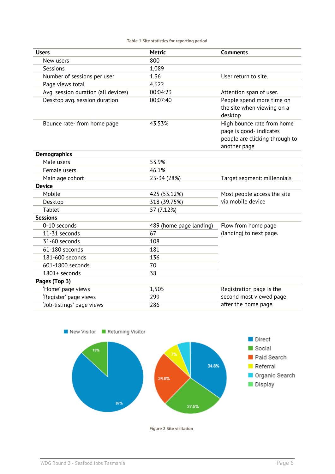|  |  |  |  | Table 1 Site statistics for reporting period |  |
|--|--|--|--|----------------------------------------------|--|
|--|--|--|--|----------------------------------------------|--|

| <b>Users</b>                        | <b>Metric</b>           | <b>Comments</b>                                                                                         |  |
|-------------------------------------|-------------------------|---------------------------------------------------------------------------------------------------------|--|
| New users                           | 800                     |                                                                                                         |  |
| Sessions                            | 1,089                   |                                                                                                         |  |
| Number of sessions per user         | 1.36                    | User return to site.                                                                                    |  |
| Page views total                    | 4,622                   |                                                                                                         |  |
| Avg. session duration (all devices) | 00:04:23                | Attention span of user.                                                                                 |  |
| Desktop avg. session duration       | 00:07:40                | People spend more time on<br>the site when viewing on a<br>desktop                                      |  |
| Bounce rate- from home page         | 43.53%                  | High bounce rate from home<br>page is good- indicates<br>people are clicking through to<br>another page |  |
| <b>Demographics</b>                 |                         |                                                                                                         |  |
| Male users                          | 53.9%                   |                                                                                                         |  |
| Female users                        | 46.1%                   |                                                                                                         |  |
| Main age cohort                     | 25-34 (28%)             | Target segment: millennials                                                                             |  |
| <b>Device</b>                       |                         |                                                                                                         |  |
| Mobile                              | 425 (53.12%)            | Most people access the site                                                                             |  |
| Desktop                             | 318 (39.75%)            | via mobile device                                                                                       |  |
| <b>Tablet</b>                       | 57 (7.12%)              |                                                                                                         |  |
| <b>Sessions</b>                     |                         |                                                                                                         |  |
| 0-10 seconds                        | 489 (home page landing) | Flow from home page                                                                                     |  |
| 11-31 seconds                       | 67                      | (landing) to next page.                                                                                 |  |
| 31-60 seconds                       | 108                     |                                                                                                         |  |
| 61-180 seconds                      | 181                     |                                                                                                         |  |
| 181-600 seconds                     | 136                     |                                                                                                         |  |
| 601-1800 seconds                    | 70                      |                                                                                                         |  |
| 1801+ seconds                       | 38                      |                                                                                                         |  |
| Pages (Top 3)                       |                         |                                                                                                         |  |
| 'Home' page views                   | 1,505                   | Registration page is the                                                                                |  |
| 'Register' page views               | 299                     | second most viewed page                                                                                 |  |
| 'Job-listings' page views           | 286                     | after the home page.                                                                                    |  |



**Figure 2 Site visitation**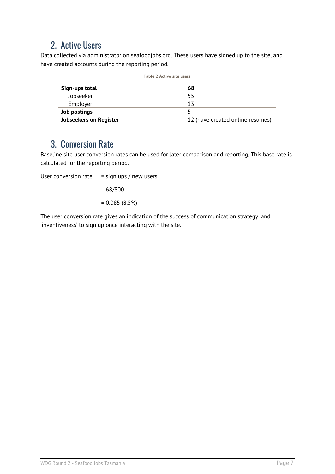#### <span id="page-6-0"></span>2. Active Users

Data collected via administrator on seafoodjobs.org. These users have signed up to the site, and have created accounts during the reporting period.

| Table 2 Active site users     |                                  |  |  |
|-------------------------------|----------------------------------|--|--|
| Sign-ups total                | 68                               |  |  |
| Jobseeker                     | 55                               |  |  |
| Employer                      | 13                               |  |  |
| Job postings                  |                                  |  |  |
| <b>Jobseekers on Register</b> | 12 (have created online resumes) |  |  |

#### <span id="page-6-1"></span>3. Conversion Rate

Baseline site user conversion rates can be used for later comparison and reporting. This base rate is calculated for the reporting period.

User conversion rate  $=$  sign ups / new users  $= 68/800$ = 0.085 (8.5%)

The user conversion rate gives an indication of the success of communication strategy, and 'inventiveness' to sign up once interacting with the site.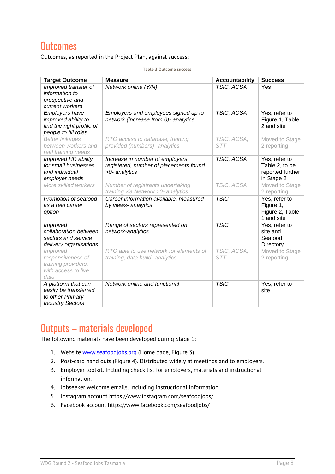#### <span id="page-7-0"></span>**Outcomes**

Outcomes, as reported in the Project Plan, against success:

| <b>Target Outcome</b>                                                                             | <b>Measure</b>                                                                             | <b>Accountability</b>     | <b>Success</b>                                                    |
|---------------------------------------------------------------------------------------------------|--------------------------------------------------------------------------------------------|---------------------------|-------------------------------------------------------------------|
| Improved transfer of<br>information to<br>prospective and<br>current workers                      | Network online (Y/N)                                                                       | TSIC, ACSA                | Yes                                                               |
| <b>Employers have</b><br>improved ability to<br>find the right profile of<br>people to fill roles | Employers and employees signed up to<br>network (increase from 0)- analytics               | TSIC, ACSA                | Yes, refer to<br>Figure 1, Table<br>2 and site                    |
| <b>Better linkages</b><br>between workers and<br>real training needs                              | RTO access to database, training<br>provided (numbers)- analytics                          | TSIC, ACSA,<br>STT        | Moved to Stage<br>2 reporting                                     |
| Improved HR ability<br>for small businesses<br>and individual<br>employer needs                   | Increase in number of employers<br>registered, number of placements found<br>>0- analytics | TSIC, ACSA                | Yes, refer to<br>Table 2, to be<br>reported further<br>in Stage 2 |
| More skilled workers                                                                              | Number of registrants undertaking<br>training via Network > 0- analytics                   | TSIC, ACSA                | Moved to Stage<br>2 reporting                                     |
| Promotion of seafood<br>as a real career<br>option                                                | Career information available, measured<br>by views- analytics                              | <b>TSIC</b>               | Yes, refer to<br>Figure 1,<br>Figure 2, Table<br>1 and site       |
| Improved<br>collaboration between<br>sectors and service<br>delivery organisations                | Range of sectors represented on<br>network-analytics                                       | <b>TSIC</b>               | Yes, refer to<br>site and<br>Seafood<br>Directory                 |
| Improved<br>responsiveness of<br>training providers,<br>with access to live<br>data               | RTO able to use network for elements of<br>training, data build- analytics                 | TSIC, ACSA,<br><b>STT</b> | Moved to Stage<br>2 reporting                                     |
| A platform that can<br>easily be transferred<br>to other Primary<br><b>Industry Sectors</b>       | Network online and functional                                                              | <b>TSIC</b>               | Yes, refer to<br>site                                             |

**Table 3 Outcome success**

## <span id="page-7-1"></span>Outputs – materials developed

The following materials have been developed during Stage 1:

- 1. Website [www.seafoodjobs.org](http://www.seafoodjobs.org/) (Home page, Figure 3)
- 2. Post-card hand outs (Figure 4). Distributed widely at meetings and to employers.
- 3. Employer toolkit. Including check list for employers, materials and instructional information.
- 4. Jobseeker welcome emails. Including instructional information.
- 5. Instagram account https://www.instagram.com/seafoodjobs/
- 6. Facebook account https://www.facebook.com/seafoodjobs/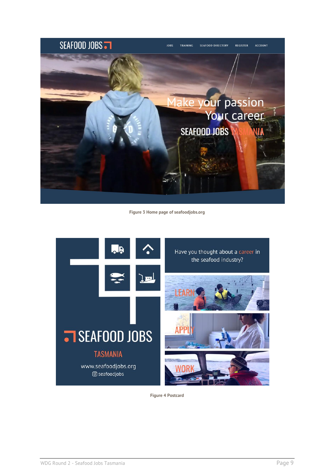

**Figure 3 Home page of seafoodjobs.org**



**Figure 4 Postcard**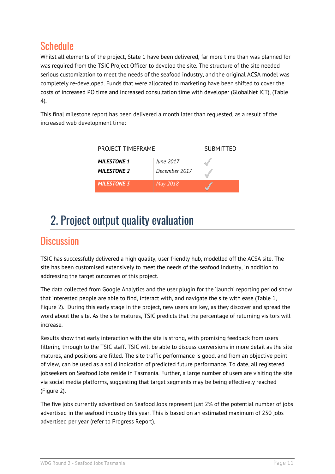## <span id="page-9-0"></span>**Schedule**

Whilst all elements of the project, State 1 have been delivered, far more time than was planned for was required from the TSIC Project Officer to develop the site. The structure of the site needed serious customization to meet the needs of the seafood industry, and the original ACSA model was completely re-developed. Funds that were allocated to marketing have been shifted to cover the costs of increased PO time and increased consultation time with developer (GlobalNet ICT), (Table 4).

This final milestone report has been delivered a month later than requested, as a result of the increased web development time:

| PROJECT TIMEFRAME  | <b>SUBMITTED</b> |  |
|--------------------|------------------|--|
| <b>MILESTONE 1</b> | June 2017        |  |
| <b>MILESTONE 2</b> | December 2017    |  |
| <b>MILESTONE 3</b> | May 2018         |  |

# <span id="page-9-1"></span>2. Project output quality evaluation

#### <span id="page-9-2"></span>**Discussion**

TSIC has successfully delivered a high quality, user friendly hub, modelled off the ACSA site. The site has been customised extensively to meet the needs of the seafood industry, in addition to addressing the target outcomes of this project.

The data collected from Google Analytics and the user plugin for the 'launch' reporting period show that interested people are able to find, interact with, and navigate the site with ease (Table 1, Figure 2). During this early stage in the project, new users are key, as they discover and spread the word about the site. As the site matures, TSIC predicts that the percentage of returning visitors will increase.

Results show that early interaction with the site is strong, with promising feedback from users filtering through to the TSIC staff. TSIC will be able to discuss conversions in more detail as the site matures, and positions are filled. The site traffic performance is good, and from an objective point of view, can be used as a solid indication of predicted future performance. To date, all registered jobseekers on Seafood Jobs reside in Tasmania. Further, a large number of users are visiting the site via social media platforms, suggesting that target segments may be being effectively reached (Figure 2).

The five jobs currently advertised on Seafood Jobs represent just 2% of the potential number of jobs advertised in the seafood industry this year. This is based on an estimated maximum of 250 jobs advertised per year (refer to Progress Report).